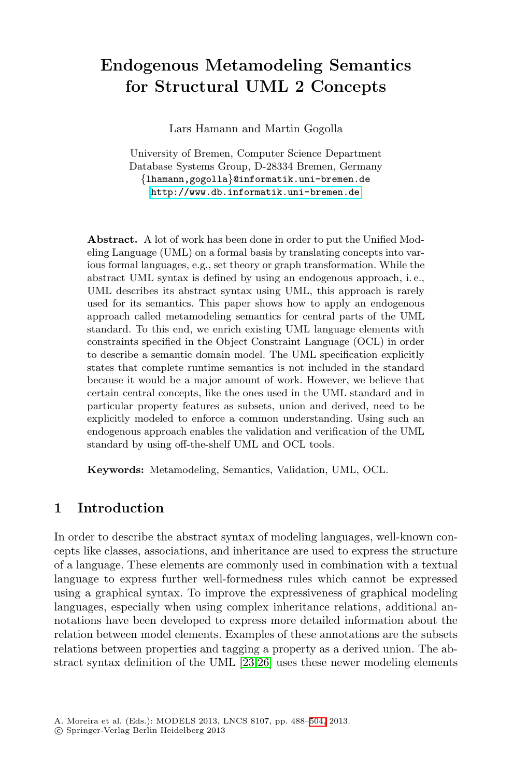# **Endogenous Metamodeling Semantics [for Structural UM](http://www.db.informatik.uni-bremen.de)L 2 Concepts**

Lars Hamann and Martin Gogolla

University of Bremen, Computer Science Department Database Systems Group, D-28334 Bremen, Germany *{*lhamann,gogolla*}*@informatik.uni-bremen.de http://www.db.informatik.uni-bremen.de

**Abstract.** A lot of work has been done in order to put the Unified Modeling Language (UML) on a formal basis by translating concepts into various formal languages, e.g., set theory or graph transformation. While the abstract UML syntax is defined by using an endogenous approach, i. e., UML describes its abstract syntax using UML, this approach is rarely used for its semantics. This paper shows how to apply an endogenous approach called metamodeling semantics for central parts of the UML standard. To this end, we enrich existing UML language elements with constraints specified in the Object Constraint Language (OCL) in order to describe a semantic domain model. The UML specification explicitly states that complete runtime semantics is not included in the standard because it would be a major amount of work. However, we believe that certain central concepts, like the ones used in the UML standard and in particular property features as subsets, union and derived, need to be explicitly modeled to enforce a common understanding. Using such an endogenous approach enables the validation and verification of the UML standard by using off-the-shelf UML and OCL tools.

**Keywords:** Metamodeling, Semantics, Validation, UML, OCL.

## **1 Introduction**

In order to describe the abstract syntax of modeling languages, well-known concepts like classes, a[sso](#page-16-0)[ciat](#page-16-1)ions, and inheritance are used to express the structure of a language. These elements are commonly used in combination with a textual language to express further well-formedness rules which cannot be expressed using a graphical syntax. To improve the expressiveness of graphical modeling languages, especially when using complex inheritance relations, additional annotations have been developed [to](#page-16-2) [ex](#page-16-2)press more detailed information about the relation between model elements. Examples of these annotations are the subsets relations between properties and tagging a property as a derived union. The abstract syntax definition of the UML [23,26] uses these newer modeling elements

A. Moreira et al. (Eds.): MODELS 2013, LNCS 8107, pp. 488–504, 2013.

<sup>-</sup>c Springer-Verlag Berlin Heidelberg 2013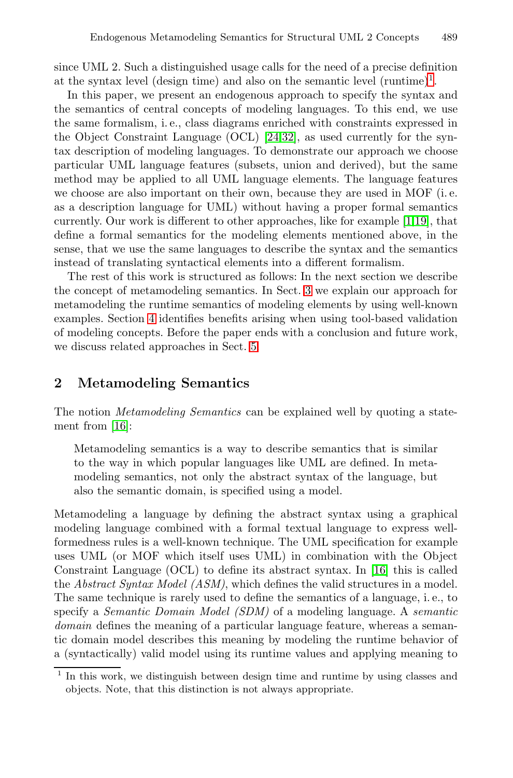since UML 2. Such a distinguished usage calls for the need of a precise definition at the syntax level (design time) and also on the semantic level (runtime)<sup>1</sup>.

In this paper, we present an endogenous approach to specify the syntax and the semantics of central concepts of modeling lan[gu](#page-15-0)[age](#page-16-5)s. To this end, we use the same formalism, i. e., class diagrams enriched with constraints expressed in the Object Constraint Language (OCL) [24,32], as used currently for the syntax description of modeling languages. To demonstrate our approach we choose particular UML language features (subsets, union and derived), but the same method may be applied to all [U](#page-2-0)ML language elements. The language features we choose are also important on their own, because they are used in MOF (i. e. [as](#page-10-0) a description language for UML) without having a proper formal semantics currently. Our work is different to other approaches, like for example [1,19], that define a formal sem[an](#page-13-0)tics for the modeling elements mentioned above, in the sense, that we use the same languages to describe the syntax and the semantics instead of translating syntactical elements into a different formalism.

The rest of this work is structured as follows: In the next section we describe the concept of metamodeling semantics. In Sect. 3 we explain our approach for metamodeling the runtime semantics of modeling elements by using well-known examples. Section 4 identifies benefits arising when using tool-based validation of modeling concepts. Before the paper ends with a conclusion and future work, we discuss related approaches in Sect. 5.

# **2 Metamodeling Semantics**

The notion *Metamodeling Semantics* can be explained well by quoting a statement from [16]:

Metamodeling semantics is a way to describe semantics that is similar to the way in which popular languages l[ike](#page-15-1) UML are defined. In metamodeling semantics, not only the abstract syntax of the language, but also the semantic domain, is specified using a model.

Metamodeling a language by defining the abstract syntax using a graphical modeling language combined with a formal textual language to express wellformedness rules is a well-known technique. The UML specification for example uses UML (or MOF which itself uses UML) in combination with the Object Constraint Language (OCL) to define its abstract syntax. In [16] this is called the *Abstract Syntax Model (ASM)*, which defines the valid structures in a model. The same technique is rarely used to define the semantics of a language, i. e., to specify a *Semantic Domain Model (SDM)* of a modeling language. A *semantic domain* defines the meaning of a particular language feature, whereas a semantic domain model describes this meaning by modeling the runtime behavior of a (syntactically) valid model using its runtime values and applying meaning to

 $1$  In this work, we distinguish between design time and runtime by using classes and objects. Note, that this distinction is not always appropriate.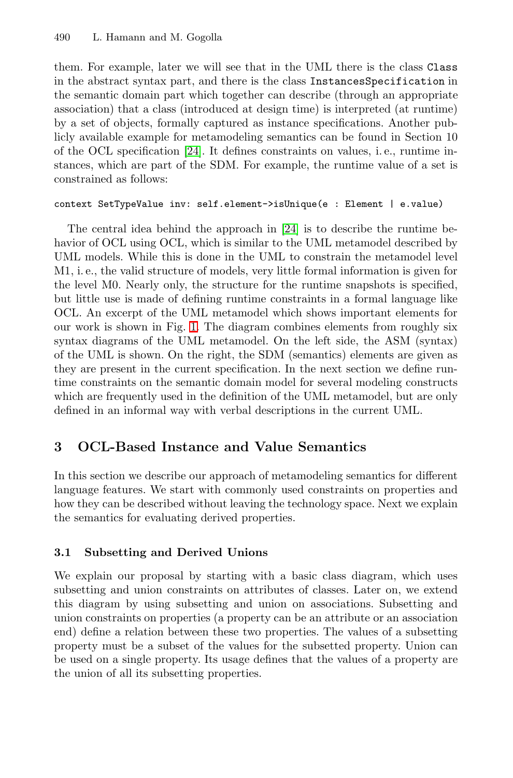them. For example, later we will see that in the UML there is the class Class in the abstract syntax part, and there is the class InstancesSpecification in the semantic domain part which together can describe (through an appropriate association) that a class (introduced at design time) is interpreted (at runtime) by a set of objects, formal[ly c](#page-16-3)aptured as instance specifications. Another publicly available example for metamodeling semantics can be found in Section 10 of the OCL specification [24]. It defines constraints on values, i. e., runtime instances, which are part of the SDM. For example, the runtime value of a set is constrained as follows:

#### context SetTypeValue inv: self.element->isUnique(e : Element | e.value)

<span id="page-2-0"></span>The c[en](#page-3-0)tral idea behind the approach in [24] is to describe the runtime behavior of OCL using OCL, which is similar to the UML metamodel described by UML models. While this is done in the UML to constrain the metamodel level M1, i. e., the valid structure of models, very little formal information is given for the level M0. Nearly only, the structure for the runtime snapshots is specified, but little use is made of defining runtime constraints in a formal language like OCL. An excerpt of the UML metamodel which shows important elements for our work is shown in Fig. 1. The diagram combines elements from roughly six syntax diagrams of the UML metamodel. On the left side, the ASM (syntax) of the UML is shown. On the right, the SDM (semantics) elements are given as they are present in the current specification. In the next section we define runtime constraints on the semantic domain model for several modeling constructs which are frequently used in the definition of the UML metamodel, but are only defined in an informal way with verbal descriptions in the current UML.

# **3 OCL-Based Instance and Value Semantics**

In this section we describe our approach of metamodeling semantics for different language features. We start with commonly used constraints on properties and how they can be described without leaving the technology space. Next we explain the semantics for evaluating derived properties.

## **3.1 Subsetting and Derived Unions**

We explain our proposal by starting with a basic class diagram, which uses subsetting and union constraints on attributes of classes. Later on, we extend this diagram by using subsetting and union on associations. Subsetting and union constraints on properties (a property can be an attribute or an association end) define a relation between these two properties. The values of a subsetting property must be a subset of the values for the subsetted property. Union can be used on a single property. Its usage defines that the values of a property are the union of all its subsetting properties.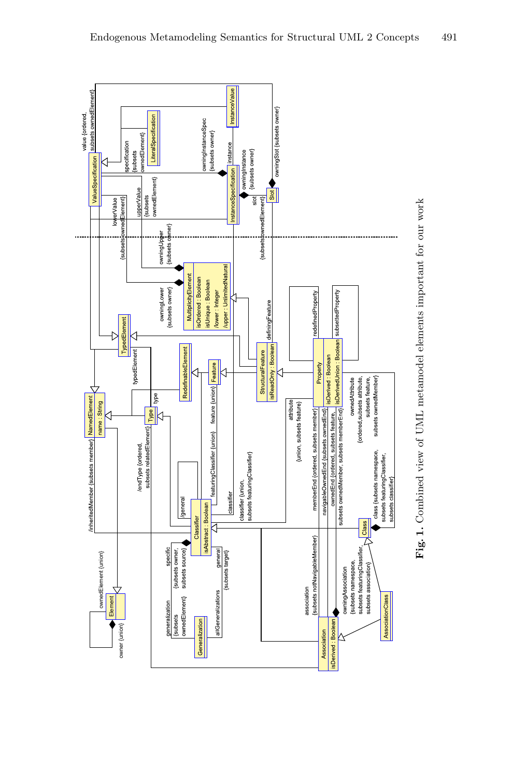

<span id="page-3-0"></span>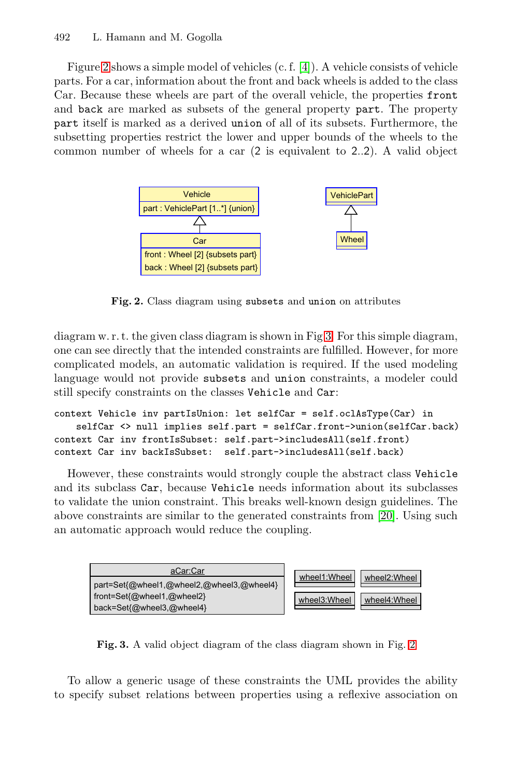Figure 2 shows a simple model of vehicles (c. f. [4]). A vehicle consists of vehicle parts. For a car, information about the front and back wheels is added to the class Car. Because these wheels are part of the overall vehicle, the properties front and back are marked as subsets of the general property part. The property part itself is marked as a derived union of all of its subsets. Furthermore, the subsetting properties restrict the lower and upper bounds of the wheels to the common number of wheels for a car (2 is equivalent to 2..2). A valid object



**Fig. 2.** Class diagram using subsets and union on attributes

diagram w. r. t. the given class diagram is shown in Fig 3. For this simple diagram, one can see directly that the intended constraints are fulfilled. However, for more complicated models, an automatic validation is required. If the used modeling language would not provide subsets and union constraints, a modeler could still specify constraints on the classes Vehicle and Car:

```
ar= self.oclAsType(Car) in
   selfCar <> null implies self.part = selfCar.front->union(selfCar.back)
context Car inv frontIsSubset: self.part->includesAll(self.front)
context Car inv backIsSubset: self.part->includesAll(self.back)
```
However, these constraints would strongly couple the abstract class Vehicle and its subclass Car, because Vehicle needs information about its subclasses to validate the union constraint. This breaks well-known design guidelines. The above constraints are similar to the generated constraints from [20]. Using such an automatic approach would reduce the coupling.



**Fig. 3.** A valid object diagram of the class diagram shown in Fig. 2

To allow a generic usage of these constraints the UML provides the ability to specify subset relations between properties using a reflexive association on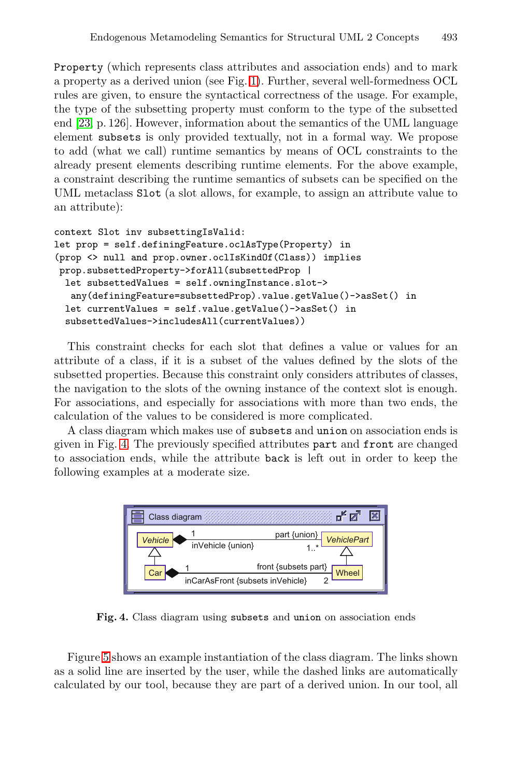Property (which represents class attributes and association ends) and to mark a property as a derived union (see Fig. 1). Further, several well-formedness OCL rules are given, to ensure the syntactical correctness of the usage. For example, the type of the subsetting property must conform to the type of the subsetted end [23, p. 126]. However, information about the semantics of the UML language element subsets is only provided textually, not in a formal way. We propose to add (what we call) runtime semantics by means of OCL constraints to the already present elements describing runtime elements. For the above example, a constraint describing the runtime semantics of subsets can be specified on the UML metaclass Slot (a slot allows, for example, to assign an attribute value to an attribute):

```
context Slot inv subsettingIsValid:
let prop = self.definingFeature.oclAsType(Property) in
(prop <> null and prop.owner.oclIsKindOf(Class)) implies
prop.subsettedProperty->forAll(subsettedProp |
 let subsettedValues = self.owningInstance.slot->
  any(definingFeature=subsettedProp).value.getValue()->asSet() in
 let currentValues = self.value.getValue()->asSet() in
 subsettedValues->includesAll(currentValues))
```
This constraint checks for each slot that defines a value or values for an attribute of a class, if it is a subset of the values defined by the slots of the subsetted properties. Because this constraint only considers attributes of classes, the navigation to the slots of the owning instance of the context slot is enough. For associations, and especially for associations with more than two ends, the calculation of the values to be considered is more complicated.

<span id="page-5-0"></span>A class diagram which makes use of subsets and union on association ends is given in Fig. 4. The previously specified attributes part and front are changed to association ends, while the attribute back is left out in order to keep the following examples at a moderate size.



**Fig. 4.** Class diagram using subsets and union on association ends

Figure 5 shows an example instantiation of the class diagram. The links shown as a solid line are inserted by the user, while the dashed links are automatically calculated by our tool, because they are part of a derived union. In our tool, all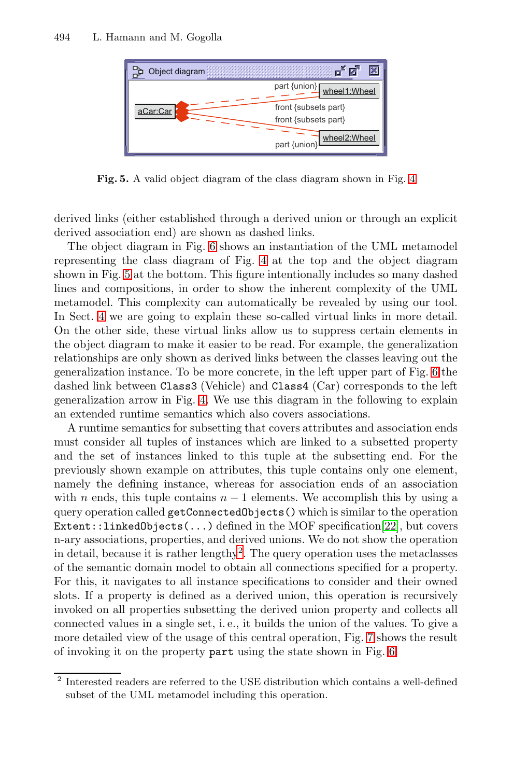

**Fig. 5.** A valid object diagram of the class diagram shown in Fig. 4

derived links (either established through a derived union or through an explicit derived association end) are shown as dashed links.

The object diagram in Fig. 6 shows an instantiation of the UML metamodel representing the class diagram of Fig. 4 at the top a[nd](#page-7-0) the object diagram shown in Fig. 5 at the bottom. This figure intentionally includes so many dashed lines and [co](#page-5-0)mpositions, in order to show the inherent complexity of the UML metamodel. This complexity can automatically be revealed by using our tool. In Sect. 4 we are going to explain these so-called virtual links in more detail. On the other side, these virtual links allow us to suppress certain elements in the object diagram to make it easier to be read. For example, the generalization relationships are only shown as derived links between the classes leaving out the generalization instance. To be more concrete, in the left upper part of Fig. 6 the dashed link between Class3 (Vehicle) and Class4 (Car) corresponds to the left generalization arrow in Fig. 4. We use this diagram in the following to explain an extended runtime semantics which also cov[ers](#page-16-7) associations.

<span id="page-6-0"></span>A runtime semantics for subsetting that covers attributes and association ends must consider all [tu](#page-6-0)ples of instances which are linked to a subsetted property and the set of instances linked to this tuple at the subsetting end. For the previously shown example on attributes, this tuple contains only one element, namely the defining instance, whereas for association ends of an association with *n* ends, this tuple contains  $n-1$  elements. We accomplish this by using a query operation called getConnectedObjects() which is similar to the operation Extent::linkedObjects(...) defined in t[he](#page-8-0) MOF specification[22], but covers n-ary associations, properties, and derived unio[ns.](#page-7-0) We do not show the operation in detail, because it is rather lengthy<sup>2</sup>. The query operation uses the metaclasses of the semantic domain model to obtain all connections specified for a property. For this, it navigates to all instance specifications to consider and their owned slots. If a property is defined as a derived union, this operation is recursively invoked on all properties subsetting the derived union property and collects all connected values in a single set, i. e., it builds the union of the values. To give a more detailed view of the usage of this central operation, Fig. 7 shows the result of invoking it on the property part using the state shown in Fig. 6.

<sup>2</sup> Interested readers are referred to the USE distribution which contains a well-defined subset of the UML metamodel including this operation.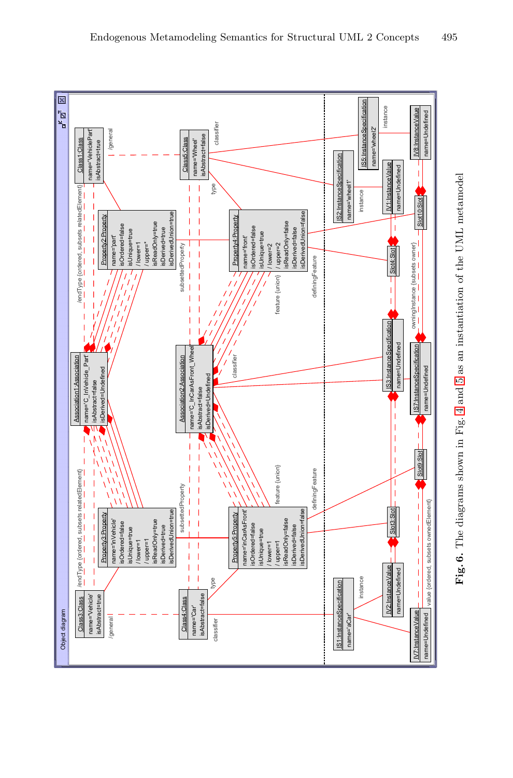

<span id="page-7-0"></span>Fig. 6. The diagrams shown in Fig. 4 and 5 as an instantiation of the UML metamodel **Fig. 6.** The diagrams shown in Fig. 4 and 5 as an instantiation of the UML metamodel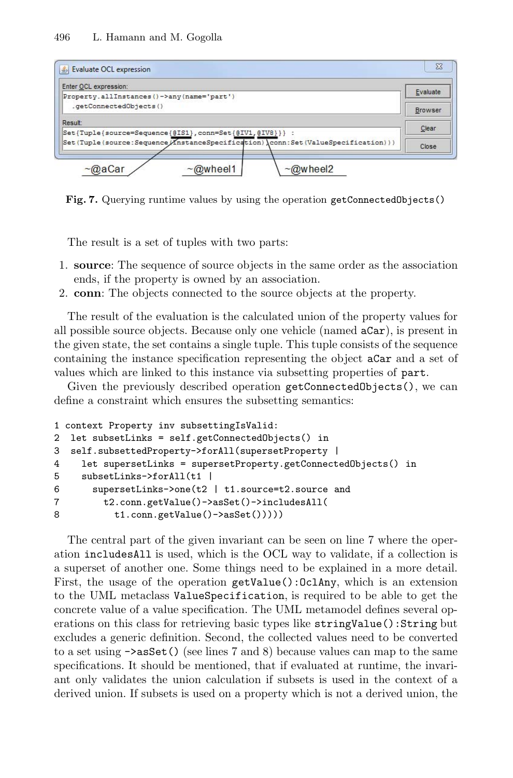<span id="page-8-0"></span>

| Enter OCL expression:                                                                   | Evaluate |  |  |  |  |
|-----------------------------------------------------------------------------------------|----------|--|--|--|--|
| Property.allInstances()->any(name='part')                                               |          |  |  |  |  |
| .getConnectedObjects()                                                                  |          |  |  |  |  |
| Result:                                                                                 | Clear    |  |  |  |  |
| Set{Tuple{source=Sequence{@IS1},conn=Set{@IV1,@IV8}}} :                                 |          |  |  |  |  |
| Set (Tuple (source: Sequence Anstance Specification) \conn: Set (Value Specification))) | Close    |  |  |  |  |

Fig. 7. Querying runtime values by using the operation getConnectedObjects()

The result is a set of tuples with two parts:

- 1. **source**: The sequence of source objects in the same order as the association ends, if the property is owned by an association.
- 2. **conn**: The objects connected to the source objects at the property.

The result of the evaluation is the calculated union of the property values for all possible source objects. Because only one vehicle (named aCar), is present in the given state, the set contains a single tuple. This tuple consists of the sequence containing the instance specification representing the object aCar and a set of values which are linked to this instance via subsetting properties of part.

Given the previously described operation getConnectedObjects(), we can define a constraint which ensures the subsetting semantics:

```
1 context Property inv subsettingIsValid:
2 let subsetLinks = self.getConnectedObjects() in
3 self.subsettedProperty->forAll(supersetProperty |
4 let supersetLinks = supersetProperty.getConnectedObjects() in
5 subsetLinks->forAll(t1 |
6 supersetLinks->one(t2 | t1.source=t2.source and
7 t2.conn.getValue()->asSet()->includesAll(
8 t1.conn.getValue()->asSet()))))
```
The central part of the given invariant can be seen on line 7 where the operation includesAll is used, which is the OCL way to validate, if a collection is a superset of another one. Some things need to be explained in a more detail. First, the usage of the operation getValue():OclAny, which is an extension to the UML metaclass ValueSpecification, is required to be able to get the concrete value of a value specification. The UML metamodel defines several operations on this class for retrieving basic types like stringValue():String but excludes a generic definition. Second, the collected values need to be converted to a set using ->asSet() (see lines 7 and 8) because values can map to the same specifications. It should be mentioned, that if evaluated at runtime, the invariant only validates the union calculation if subsets is used in the context of a derived union. If subsets is used on a property which is not a derived union, the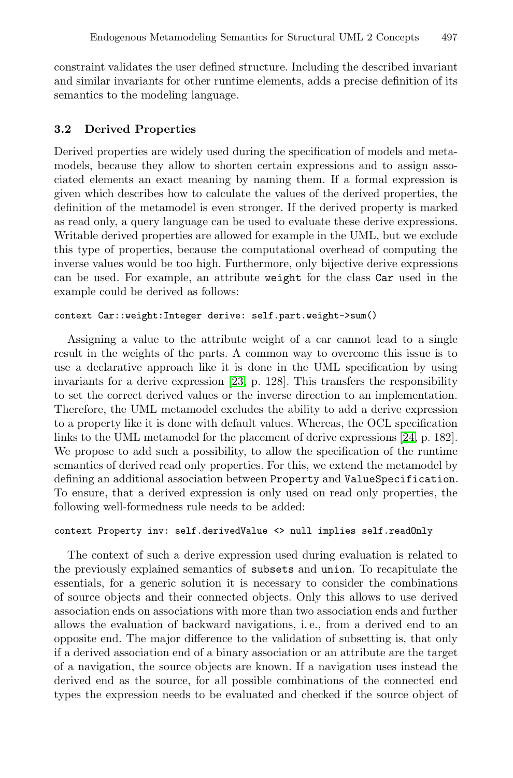constraint validates the user defined structure. Including the described invariant and similar invariants for other runtime elements, adds a precise definition of its semantics to the modeling language.

# **3.2 Derived Properties**

Derived properties are widely used during the specification of models and metamodels, because they allow to shorten certain expressions and to assign associated elements an exact meaning by naming them. If a formal expression is given which describes how to calculate the values of the derived properties, the definition of the metamodel is even stronger. If the derived property is marked as read only, a query language can be used to evaluate these derive expressions. Writable derived properties are allowed for example in the UML, but we exclude this type of properties, because the computational overhead of computing the inverse values would be too high. Furthermore, only bijective derive expressions can be used. Fo[r ex](#page-16-0)ample, an attribute weight for the class Car used in the example could be derived as follows:

#### context Car::weight:Integer derive: self.part.weight->sum()

Assigning a value to the attribute weight of [a](#page-16-3) [ca](#page-16-3)r cannot lead to a single result in the weights of the parts. A common way to overcome this issue is to use a declarative approach like it is done in the UML specification by using invariants for a derive expression [23, p. 128]. This transfers the responsibility to set the correct derived values or the inverse direction to an implementation. Therefore, the UML metamodel excludes the ability to add a derive expression to a property like it is done with default values. Whereas, the OCL specification links to the UML metamodel for the placement of derive expressions [24, p. 182]. We propose to add such a possibility, to allow the specification of the runtime semantics of derived read only properties. For this, we extend the metamodel by defining an additional association between Property and ValueSpecification. To ensure, that a derived expression is only used on read only properties, the following well-formedness rule needs to be added:

#### context Property inv: self.derivedValue <> null implies self.readOnly

The context of such a derive expression used during evaluation is related to the previously explained semantics of subsets and union. To recapitulate the essentials, for a generic solution it is necessary to consider the combinations of source objects and their connected objects. Only this allows to use derived association ends on associations with more than two association ends and further allows the evaluation of backward navigations, i. e., from a derived end to an opposite end. The major difference to the validation of subsetting is, that only if a derived association end of a binary association or an attribute are the target of a navigation, the source objects are known. If a navigation uses instead the derived end as the source, for all possible combinations of the connected end types the expression needs to be evaluated and checked if the source object of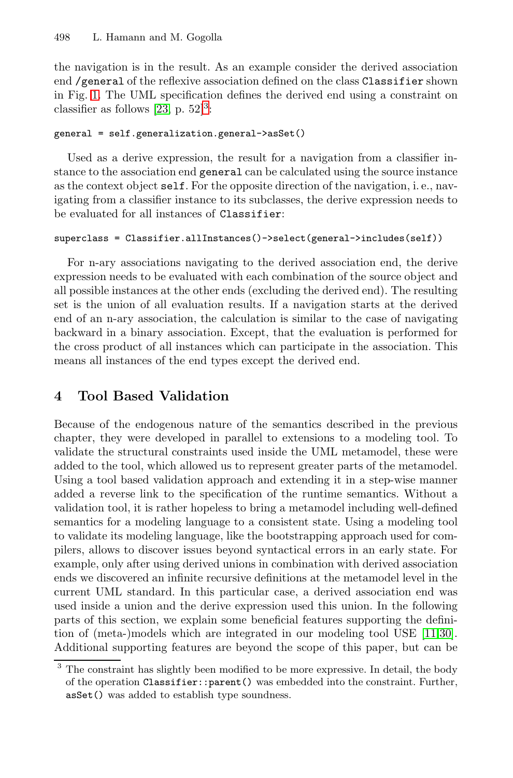the navigation is in the result. As an example consider the derived association end /general of the reflexive association defined on the class Classifier shown in Fig. 1. The UML specification defines the derived end using a constraint on classifier as follows [23, p.  $52\frac{3}{3}$ :

#### general = self.generalization.general->asSet()

<span id="page-10-0"></span>Used as a derive expression, the result for a navigation from a classifier instance to the association end general can be calculated using the source instance as the context object self. For the opposite direction of the navigation, i. e., navigating from a classifier instance to its subclasses, the derive expression needs to be evaluated for all instances of Classifier:

#### superclass = Classifier.allInstances()->select(general->includes(self))

For n-ary associations navigating to the derived association end, the derive expression needs to be evaluated with each combination of the source object and all possible instances at the other ends (excluding the derived end). The resulting set is the union of all evaluation results. If a navigation starts at the derived end of an n-ary association, the calculation is similar to the case of navigating backward in a binary association. Except, that the evaluation is performed for the cross product of all instances which can participate in the association. This means all instances of the end types except the derived end.

# **4 Tool Based Validation**

Because of the endogenous nature of the semantics described in the previous chapter, they were developed in parallel to extensions to a modeling tool. To validate the structural constraints used inside the UML metamodel, these were added to the tool, which allowed us to represent greater parts of the metamodel. Using a tool based validation approach and extending it in a step-wise manner added a reverse link to the specification of the runtime semantics. Without a validation tool, it is rather hopeless to bring a metamodel including well-defined semantics for a modeling language to a consistent stat[e.](#page-15-2) [Usin](#page-16-8)g a modeling tool to validate its modeling language, like the bootstrapping approach used for compilers, allows to discover issues beyond syntactical errors in an early state. For example, only after using derived unions in combination with derived association ends we discovered an infinite recursive definitions at the metamodel level in the current UML standard. In this particular case, a derived association end was used inside a union and the derive expression used this union. In the following parts of this section, we explain some beneficial features supporting the definition of (meta-)models which are integrated in our modeling tool USE [11,30]. Additional supporting features are beyond the scope of this paper, but can be

<sup>&</sup>lt;sup>3</sup> The constraint has slightly been modified to be more expressive. In detail, the body of the operation Classifier::parent() was embedded into the constraint. Further, asSet() was added to establish type soundness.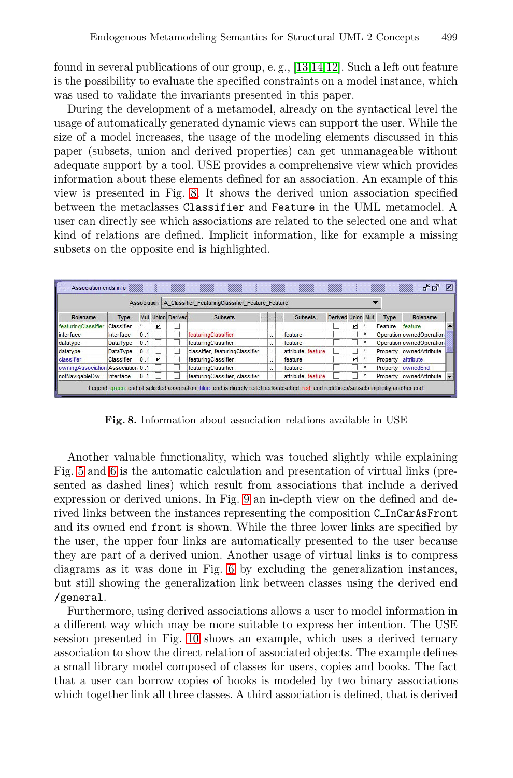found in several publications of our group, e. g., [13,14,12]. Such a left out feature is the po[ssi](#page-11-0)bility to evaluate the specified constraints on a model instance, which was used to validate the invariants presented in this paper.

During the development of a metamodel, already on the syntactical level the usage of automatically generated dynamic views can support the user. While the size of a model increases, the usage of the modeling elements discussed in this paper (subsets, union and derived properties) can get unmanageable without adequate support by a tool. USE provides a comprehensive view which provides information about these elements defined for an association. An example of this view is presented in Fig. 8. It shows the derived union association specified between the metaclasses Classifier and Feature in the UML metamodel. A user can directly see which associations are related to the selected one and what kind of relations are defined. Implicit information, like for example a missing subsets on the opposite end is highlighted.

<span id="page-11-0"></span>

|                                  |                 |      | Association             |                      | A Classifier FeaturingClassifier Feature Feature |         |                |                          |                    |                         |             |                           |  |
|----------------------------------|-----------------|------|-------------------------|----------------------|--------------------------------------------------|---------|----------------|--------------------------|--------------------|-------------------------|-------------|---------------------------|--|
| Rolename                         | <b>Type</b>     | Mul. |                         | <b>Union Derived</b> | <b>Subsets</b>                                   | Count 1 | <b>College</b> | <b>Subsets</b><br>$\sim$ | Derived Union Mul. |                         | <b>Type</b> | Rolename                  |  |
| featuringClassifier              | Classifier      |      | v                       |                      |                                                  |         | 1.11           |                          |                    | V                       | Feature     | feature                   |  |
| linterface                       | Interface       | 0.1  |                         |                      | featuringClassifier                              |         | $\sim$         | feature                  |                    |                         |             | Operation owned Operation |  |
| datatype                         | <b>DataTvpe</b> | 0.1  |                         |                      | featuringClassifier                              |         | $\sim$         | feature                  |                    |                         |             | Operation owned Operation |  |
| datatype                         | <b>DataTvpe</b> | 0.1  |                         |                      | classifier, featuringClassifier                  |         | W.             | attribute, feature       |                    |                         |             | Property ownedAttribute   |  |
| classifier                       | Classifier      | 0.1  | $\overline{\mathbf{v}}$ |                      | featuringClassifier                              |         | $\cdots$       | feature                  |                    | $\overline{\mathbf{v}}$ | Property    | attribute                 |  |
| owningAssociation Association 01 |                 |      |                         |                      | featuringClassifier                              |         | .              | feature                  |                    |                         | Property    | ownedEnd                  |  |
| notNavigableOw Interface         |                 | 0.1  |                         |                      | featuringClassifier, classifier                  |         | $\sim$         | attribute, feature       |                    |                         |             | Property ownedAttribute   |  |

**Fig. 8.** Information about association relations available in USE

Another valu[ab](#page-7-0)le functionality, which was touched slightly while explaining Fig. 5 and 6 is the automatic calculation and presentation of virtual links (presented as dashed lines) which result from associations that include a derived expression or derived unions. In Fig. 9 an in-depth view on the defined and derived links between the instances representing the composition C InCarAsFront and its [own](#page-13-1)ed end front is shown. While the three lower links are specified by the user, the upper four links are automatically presented to the user because they are part of a derived union. Another usage of virtual links is to compress diagrams as it was done in Fig. 6 by excluding the generalization instances, but still showing the generalization link between classes using the derived end /general.

Furthermore, using derived associations allows a user to model information in a different way which may be more suitable to express her intention. The USE session presented in Fig. 10 shows an example, which uses a derived ternary association to show the direct relation of associated objects. The example defines a small library model composed of classes for users, copies and books. The fact that a user can borrow copies of books is modeled by two binary associations which together link all three classes. A third association is defined, that is derived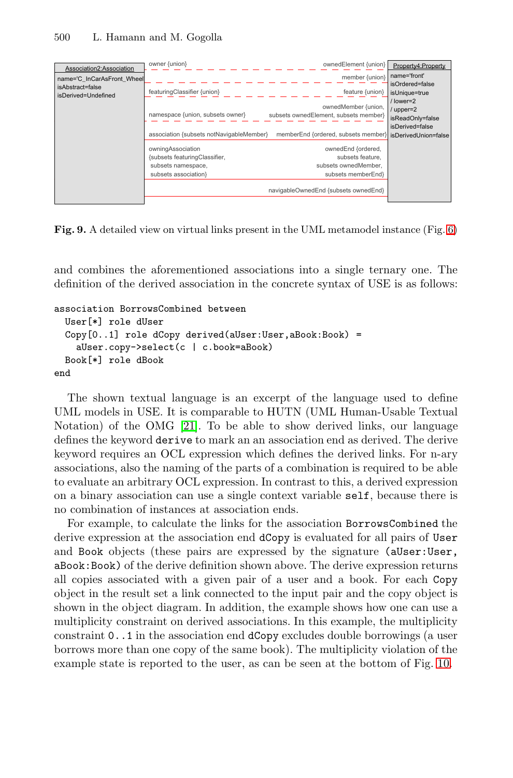| Association2:Association   | owner {union}                            | ownedElement {union}                  | Property4:Property   |  |  |  |
|----------------------------|------------------------------------------|---------------------------------------|----------------------|--|--|--|
| name='C InCarAsFront Wheel |                                          | member {union}                        | name='front'         |  |  |  |
| isAbstract=false           |                                          |                                       | isOrdered=false      |  |  |  |
| isDerived=Undefined        | featuringClassifier {union}              | feature {union}                       | isUnique=true        |  |  |  |
|                            |                                          |                                       | $/$ lower= $2$       |  |  |  |
|                            |                                          | ownedMember {union,                   | / upper=2            |  |  |  |
|                            | namespace {union, subsets owner}         | subsets ownedElement, subsets member} | isReadOnly=false     |  |  |  |
|                            |                                          |                                       | isDerived=false      |  |  |  |
|                            | association {subsets notNavigableMember} | memberEnd {ordered, subsets member}   | isDerivedUnion=false |  |  |  |
|                            |                                          |                                       |                      |  |  |  |
|                            | owningAssociation                        | ownedEnd {ordered,                    |                      |  |  |  |
|                            | {subsets featuringClassifier,            | subsets feature.                      |                      |  |  |  |
|                            | subsets namespace.                       | subsets ownedMember.                  |                      |  |  |  |
|                            | subsets association}                     | subsets memberEnd?                    |                      |  |  |  |
|                            |                                          |                                       |                      |  |  |  |
|                            | navigableOwnedEnd {subsets ownedEnd}     |                                       |                      |  |  |  |
|                            |                                          |                                       |                      |  |  |  |

**Fig. 9.** A detailed view on virtual links present in the UML metamodel instance (Fig. 6)

and combines the aforementioned associations into a single ternary one. The definition of the derived association in the concrete syntax of USE is as follows:

```
association BorrowsCombined between
 User[*] role dUser
 Copy[0..1] role dCopy derived(aUser:User,aBook:Book) =
    aUser.copy->select(c | c.book=aBook)
 Book[*] role dBook
end
```
The shown textual language is an excerpt of the language used to define UML models in USE. It is comparable to HUTN (UML Human-Usable Textual Notation) of the OMG [21]. To be able to show derived links, our language defines the keyword derive to mark an an association end as derived. The derive keyword requires an OCL expression which defines the derived links. For n-ary associations, also the naming of the parts of a combination is required to be able to evaluate an arbitrary OCL expression. In contrast to this, a derived expression on a binary association can use a single context variable self, because there is no combination of instances at association ends.

For example, to calculate the links for the association BorrowsCombined the derive expression at the association end dCopy is evaluated for all pairs of User and Book objects (these pairs are expressed by the si[gnat](#page-13-1)ure (aUser:User, aBook:Book) of the derive definition shown above. The derive expression returns all copies associated with a given pair of a user and a book. For each Copy object in the result set a link connected to the input pair and the copy object is shown in the object diagram. In addition, the example shows how one can use a multiplicity constraint on derived associations. In this example, the multiplicity constraint 0..1 in the association end dCopy excludes double borrowings (a user borrows more than one copy of the same book). The multiplicity violation of the example state is reported to the user, as can be seen at the bottom of Fig. 10.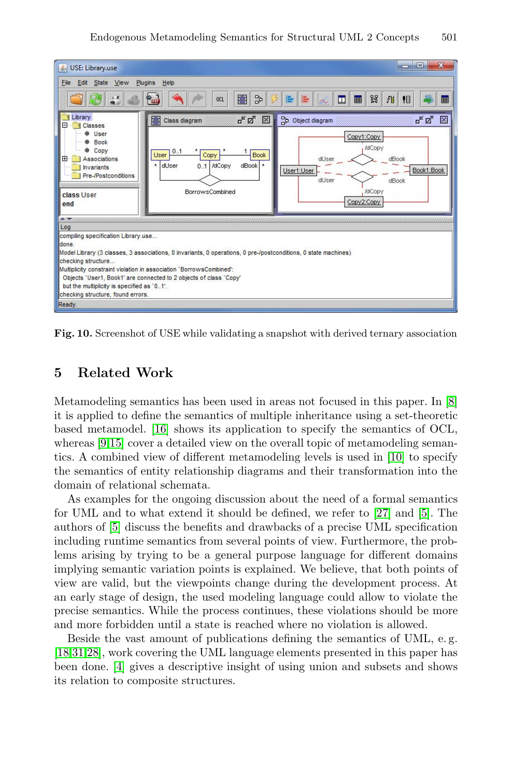<span id="page-13-0"></span>

<span id="page-13-1"></span>Endogenous Metamodeling Semantics for Structural UML 2 Concepts 501

**Fig. 10.** Screenshot of USE while validating a snapshot with derived ternary association

# **5 Related Work**

Metamodeling semantics has been used in ar[eas n](#page-16-10)ot fo[cu](#page-15-3)sed in this paper. In [8] it is applied to define the semantics of multiple inheritance using a set-theoretic based metamodel. [16] shows its application to specify the semantics of OCL, whereas [9,15] cover a detailed view on the overall topic of metamodeling semantics. A combined view of different metamodeling levels is used in [10] to specify the semantics of entity relationship diagrams and their transformation into the domain of relational schemata.

As examples for the ongoing discussion about the need of a formal semantics for UML and to what extend it should be defined, we refer to [27] and [5]. The authors of [5] discuss the benefits and drawbacks of a precise UML specification including runtime semantics from several points of view. Furthermore, the problems arising by trying to be a general purpose language for different domains implying semantic variation points is explained. We believe, that both points of view are valid, but the viewpoints change during the development process. At an early stage of design, the used modeling language could allow to violate the precise semantics. While the process continues, these violations should be more and more forbidden until a state is reached where no violation is allowed.

Beside the vast amount of publications defining the semantics of UML, e. g. [18,31,28], work covering the UML language elements presented in this paper has been done. [4] gives a descriptive insight of using union and subsets and shows its relation to composite structures.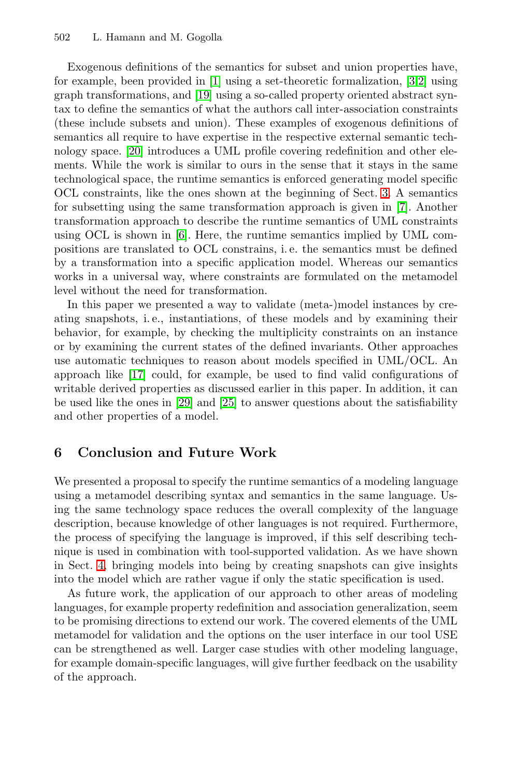Exogenous definitions of the semantics for subset and union properties have, for example, been provided in [1] using a set-t[he](#page-2-0)oretic formalization, [3,2] using graph transformations, and [19] using a so-called [pro](#page-15-4)perty oriented abstract syntax to define the semantics of what the authors call inter-association constraints (these [in](#page-15-5)clude subsets and union). These examples of exogenous definitions of semantics all require to have expertise in the respective external semantic technology space. [20] introduces a UML profile covering redefinition and other elements. While the work is similar to ours in the sense that it stays in the same technological space, the runtime semantics is enforced generating model specific OCL constraints, like the ones shown at the beginning of Sect. 3. A semantics for subsetting using the same transformation approach is given in [7]. Another transformation approach to describe the runtime semantics of UML constraints using OCL is shown in [6]. Here, the runtime semantics implied by UML compositions are translated to OCL constrains, i. e. the semantics must be defined by a transformation into a specific application model. Whereas our semantics works in a universal way, where constraints are formulated on the metamodel level [with](#page-16-11)out t[he n](#page-16-12)eed for transformation.

In this paper we presented a way to validate (meta-)model instances by creating snapshots, i. e., instantiations, of these models and by examining their behavior, for example, by checking the multiplicity constraints on an instance or by examining the current states of the defined invariants. Other approaches use automatic techniques to reason about models specified in UML/OCL. An approach like [17] could, for example, be used to find valid configurations of writable derived properties as discussed earlier in this paper. In addition, it can be used like the ones in [29] and [25] to answer questions about the satisfiability and other properties of a model.

# **6 Conclusion and Future Work**

We presented a proposal to specify the runtime semantics of a modeling language using a metamodel describing syntax and semantics in the same language. Using the same technology space reduces the overall complexity of the language description, because knowledge of other languages is not required. Furthermore, the process of specifying the language is improved, if this self describing technique is used in combination with tool-supported validation. As we have shown in Sect. 4, bringing models into being by creating snapshots can give insights into the model which are rather vague if only the static specification is used.

As future work, the application of our approach to other areas of modeling languages, for example property redefinition and association generalization, seem to be promising directions to extend our work. The covered elements of the UML metamodel for validation and the options on the user interface in our tool USE can be strengthened as well. Larger case studies with other modeling language, for example domain-specific languages, will give further feedback on the usability of the approach.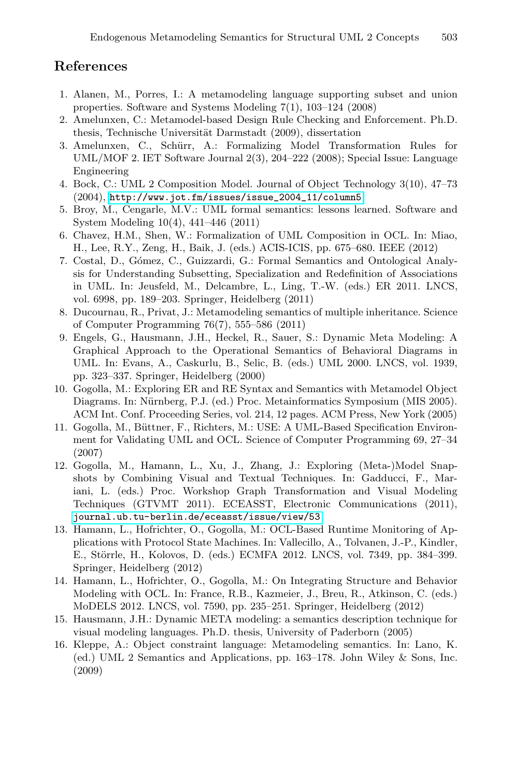# <span id="page-15-5"></span><span id="page-15-4"></span><span id="page-15-3"></span><span id="page-15-0"></span>**References**

- [1. Alanen, M., Porres, I.: A metamodeling](http://www.jot.fm/issues/issue_2004_11/column5) language supporting subset and union properties. Software and Systems Modeling 7(1), 103–124 (2008)
- 2. Amelunxen, C.: Metamodel-based Design Rule Checking and Enforcement. Ph.D. thesis, Technische Universität Darmstadt (2009), dissertation
- 3. Amelunxen, C., Schürr, A.: Formalizing Model Transformation Rules for UML/MOF 2. IET Software Journal 2(3), 204–222 (2008); Special Issue: Language Engineering
- 4. Bock, C.: UML 2 Composition Model. Journal of Object Technology 3(10), 47–73 (2004), http://www.jot.fm/issues/issue\_2004\_11/column5
- <span id="page-15-2"></span>5. Broy, M., Cengarle, M.V.: UML formal semantics: lessons learned. Software and System Modeling 10(4), 441–446 (2011)
- 6. Chavez, H.M., Shen, W.: Formalization of UML Composition in OCL. In: Miao, H., Lee, R.Y., Zeng, H., Baik, J. (eds.) ACIS-ICIS, pp. 675–680. IEEE (2012)
- 7. Costal, D., G´omez, C., Guizzardi, G.: Formal Semantics and Ontological Analysis for Understanding Subsetting, Specialization and Redefinition of Associations in UML. In: Jeusfeld, M., Delcambre, L., Ling, T.-W. (eds.) ER 2011. LNCS, vol. 6998, pp. 189–203. Springer, Heidelberg (2011)
- 8. Ducournau, R., Privat, J.: Metamodeling semantics of multiple inheritance. Science of Computer Programming 76(7), 555–586 (2011)
- 9. Engels, G., Hausmann, J.H., Heckel, R., Sauer, S.: Dynamic Meta Modeling: A Graphical Approach to the Operational Semantics of Behavioral Diagrams in UML. In: Evans, A., Caskurlu, B., Selic, B. (eds.) UML 2000. LNCS, vol. 1939, pp. 323–337. Springer, Heidelberg (2000)
- 10. Gogolla, M.: Exploring ER and RE Syntax and Semantics with Metamodel Object Diagrams. In: Nürnberg, P.J. (ed.) Proc. Metainformatics Symposium (MIS 2005). [ACM Int. Conf. Proceeding Series,](journal.ub.tu-berlin.de/eceasst/issue/view/53) vol. 214, 12 pages. ACM Press, New York (2005)
- <span id="page-15-1"></span>11. Gogolla, M., Büttner, F., Richters, M.; USE: A UML-Based Specification Environment for Validating UML and OCL. Science of Computer Programming 69, 27–34 (2007)
- 12. Gogolla, M., Hamann, L., Xu, J., Zhang, J.: Exploring (Meta-)Model Snapshots by Combining Visual and Textual Techniques. In: Gadducci, F., Mariani, L. (eds.) Proc. Workshop Graph Transformation and Visual Modeling Techniques (GTVMT 2011). ECEASST, Electronic Communications (2011), journal.ub.tu-berlin.de/eceasst/issue/view/53
- 13. Hamann, L., Hofrichter, O., Gogolla, M.: OCL-Based Runtime Monitoring of Applications with Protocol State Machines. In: Vallecillo, A., Tolvanen, J.-P., Kindler, E., Störrle, H., Kolovos, D. (eds.) ECMFA 2012. LNCS, vol. 7349, pp. 384–399. Springer, Heidelberg (2012)
- 14. Hamann, L., Hofrichter, O., Gogolla, M.: On Integrating Structure and Behavior Modeling with OCL. In: France, R.B., Kazmeier, J., Breu, R., Atkinson, C. (eds.) MoDELS 2012. LNCS, vol. 7590, pp. 235–251. Springer, Heidelberg (2012)
- 15. Hausmann, J.H.: Dynamic META modeling: a semantics description technique for visual modeling languages. Ph.D. thesis, University of Paderborn (2005)
- 16. Kleppe, A.: Object constraint language: Metamodeling semantics. In: Lano, K. (ed.) UML 2 Semantics and Applications, pp. 163–178. John Wiley & Sons, Inc. (2009)